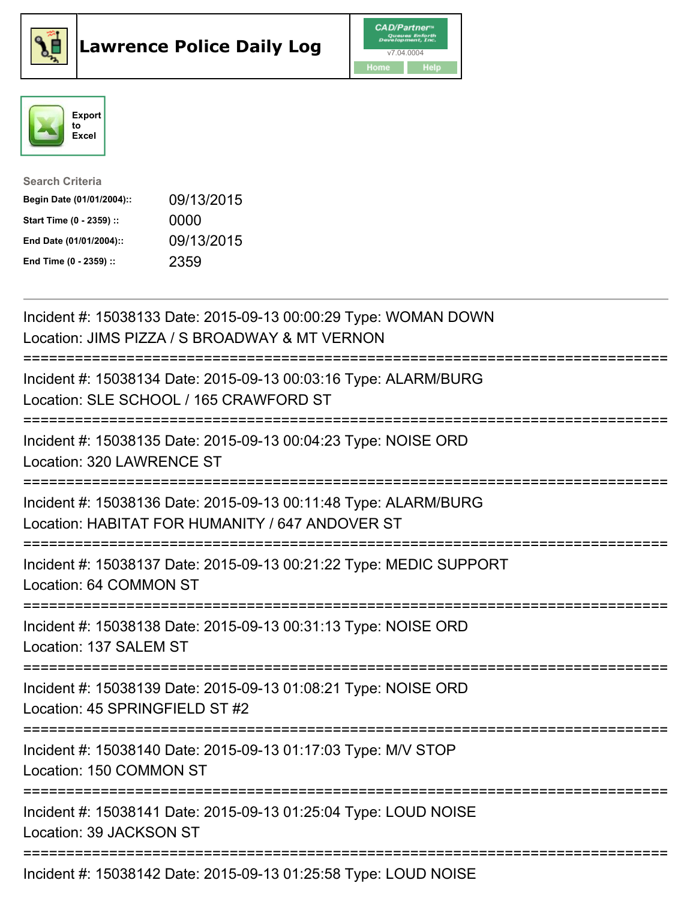





| <b>Search Criteria</b>    |            |
|---------------------------|------------|
| Begin Date (01/01/2004):: | 09/13/2015 |
| Start Time (0 - 2359) ::  | 0000       |
| End Date (01/01/2004)::   | 09/13/2015 |
| End Time (0 - 2359) ::    | 2359       |

| Incident #: 15038133 Date: 2015-09-13 00:00:29 Type: WOMAN DOWN<br>Location: JIMS PIZZA / S BROADWAY & MT VERNON        |
|-------------------------------------------------------------------------------------------------------------------------|
| Incident #: 15038134 Date: 2015-09-13 00:03:16 Type: ALARM/BURG<br>Location: SLE SCHOOL / 165 CRAWFORD ST               |
| Incident #: 15038135 Date: 2015-09-13 00:04:23 Type: NOISE ORD<br>Location: 320 LAWRENCE ST                             |
| Incident #: 15038136 Date: 2015-09-13 00:11:48 Type: ALARM/BURG<br>Location: HABITAT FOR HUMANITY / 647 ANDOVER ST      |
| Incident #: 15038137 Date: 2015-09-13 00:21:22 Type: MEDIC SUPPORT<br>Location: 64 COMMON ST                            |
| Incident #: 15038138 Date: 2015-09-13 00:31:13 Type: NOISE ORD<br>Location: 137 SALEM ST                                |
| Incident #: 15038139 Date: 2015-09-13 01:08:21 Type: NOISE ORD<br>Location: 45 SPRINGFIELD ST #2                        |
| Incident #: 15038140 Date: 2015-09-13 01:17:03 Type: M/V STOP<br>Location: 150 COMMON ST                                |
| -------------------------<br>Incident #: 15038141 Date: 2015-09-13 01:25:04 Type: LOUD NOISE<br>Location: 39 JACKSON ST |
| Incident #: 15038142 Date: 2015-09-13 01:25:58 Type: LOUD NOISE                                                         |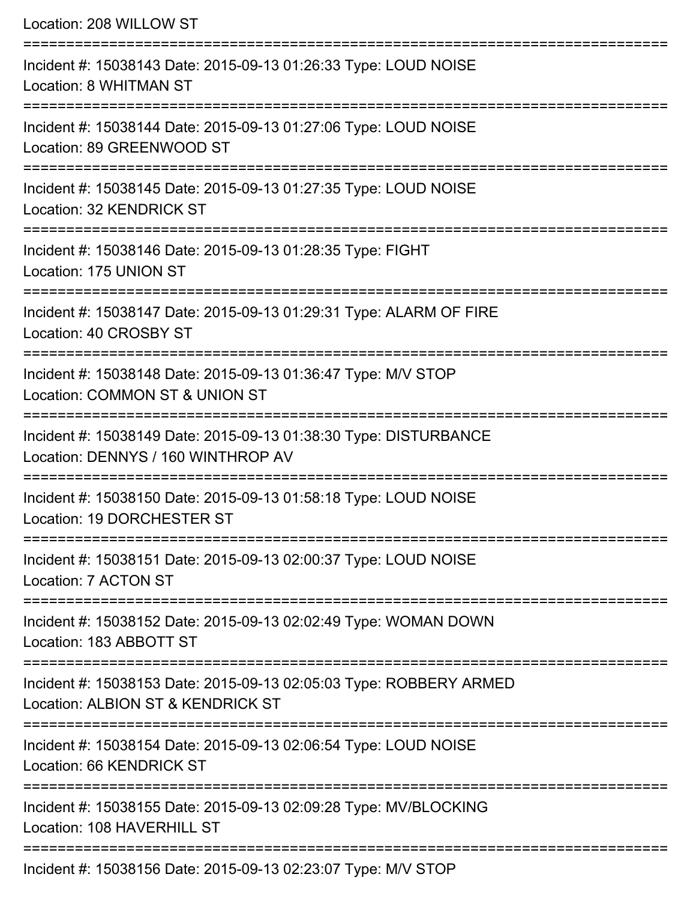| Location: 208 WILLOW ST<br>====================================<br>----------------------------         |
|---------------------------------------------------------------------------------------------------------|
| Incident #: 15038143 Date: 2015-09-13 01:26:33 Type: LOUD NOISE<br>Location: 8 WHITMAN ST               |
| Incident #: 15038144 Date: 2015-09-13 01:27:06 Type: LOUD NOISE<br>Location: 89 GREENWOOD ST            |
| Incident #: 15038145 Date: 2015-09-13 01:27:35 Type: LOUD NOISE<br>Location: 32 KENDRICK ST             |
| Incident #: 15038146 Date: 2015-09-13 01:28:35 Type: FIGHT<br>Location: 175 UNION ST                    |
| Incident #: 15038147 Date: 2015-09-13 01:29:31 Type: ALARM OF FIRE<br>Location: 40 CROSBY ST            |
| Incident #: 15038148 Date: 2015-09-13 01:36:47 Type: M/V STOP<br>Location: COMMON ST & UNION ST         |
| Incident #: 15038149 Date: 2015-09-13 01:38:30 Type: DISTURBANCE<br>Location: DENNYS / 160 WINTHROP AV  |
| Incident #: 15038150 Date: 2015-09-13 01:58:18 Type: LOUD NOISE<br>Location: 19 DORCHESTER ST           |
| Incident #: 15038151 Date: 2015-09-13 02:00:37 Type: LOUD NOISE<br>Location: 7 ACTON ST                 |
| Incident #: 15038152 Date: 2015-09-13 02:02:49 Type: WOMAN DOWN<br>Location: 183 ABBOTT ST              |
| Incident #: 15038153 Date: 2015-09-13 02:05:03 Type: ROBBERY ARMED<br>Location: ALBION ST & KENDRICK ST |
| Incident #: 15038154 Date: 2015-09-13 02:06:54 Type: LOUD NOISE<br><b>Location: 66 KENDRICK ST</b>      |
| Incident #: 15038155 Date: 2015-09-13 02:09:28 Type: MV/BLOCKING<br>Location: 108 HAVERHILL ST          |
| Incident #: 15038156 Date: 2015-09-13 02:23:07 Type: M/V STOP                                           |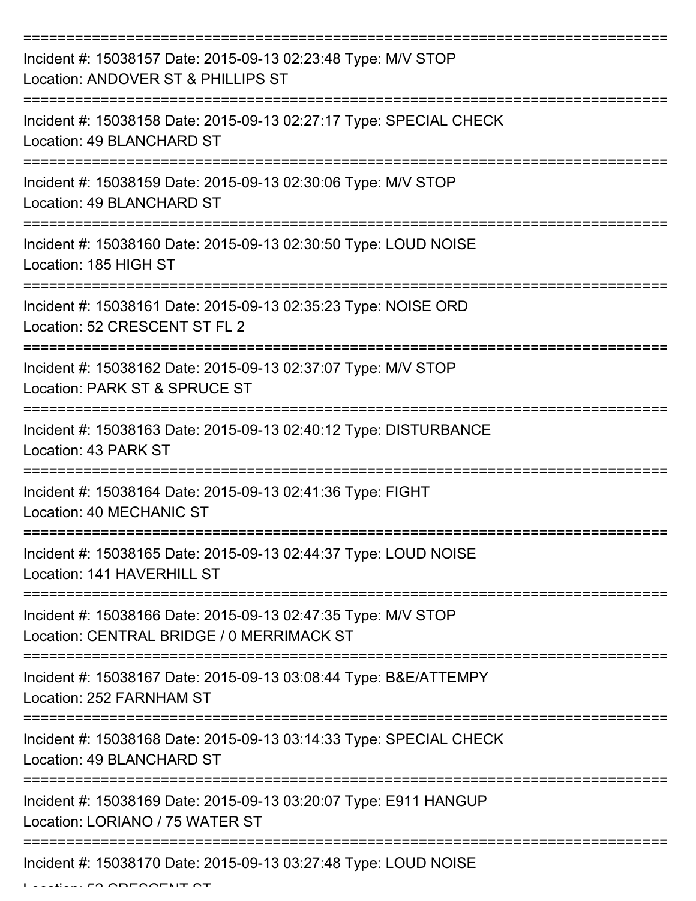| Incident #: 15038157 Date: 2015-09-13 02:23:48 Type: M/V STOP<br>Location: ANDOVER ST & PHILLIPS ST        |
|------------------------------------------------------------------------------------------------------------|
| Incident #: 15038158 Date: 2015-09-13 02:27:17 Type: SPECIAL CHECK<br>Location: 49 BLANCHARD ST            |
| Incident #: 15038159 Date: 2015-09-13 02:30:06 Type: M/V STOP<br>Location: 49 BLANCHARD ST                 |
| Incident #: 15038160 Date: 2015-09-13 02:30:50 Type: LOUD NOISE<br>Location: 185 HIGH ST                   |
| Incident #: 15038161 Date: 2015-09-13 02:35:23 Type: NOISE ORD<br>Location: 52 CRESCENT ST FL 2            |
| Incident #: 15038162 Date: 2015-09-13 02:37:07 Type: M/V STOP<br>Location: PARK ST & SPRUCE ST             |
| Incident #: 15038163 Date: 2015-09-13 02:40:12 Type: DISTURBANCE<br>Location: 43 PARK ST                   |
| Incident #: 15038164 Date: 2015-09-13 02:41:36 Type: FIGHT<br>Location: 40 MECHANIC ST                     |
| Incident #: 15038165 Date: 2015-09-13 02:44:37 Type: LOUD NOISE<br>Location: 141 HAVERHILL ST              |
| Incident #: 15038166 Date: 2015-09-13 02:47:35 Type: M/V STOP<br>Location: CENTRAL BRIDGE / 0 MERRIMACK ST |
| Incident #: 15038167 Date: 2015-09-13 03:08:44 Type: B&E/ATTEMPY<br>Location: 252 FARNHAM ST               |
| Incident #: 15038168 Date: 2015-09-13 03:14:33 Type: SPECIAL CHECK<br>Location: 49 BLANCHARD ST            |
| Incident #: 15038169 Date: 2015-09-13 03:20:07 Type: E911 HANGUP<br>Location: LORIANO / 75 WATER ST        |
| Incident #: 15038170 Date: 2015-09-13 03:27:48 Type: LOUD NOISE                                            |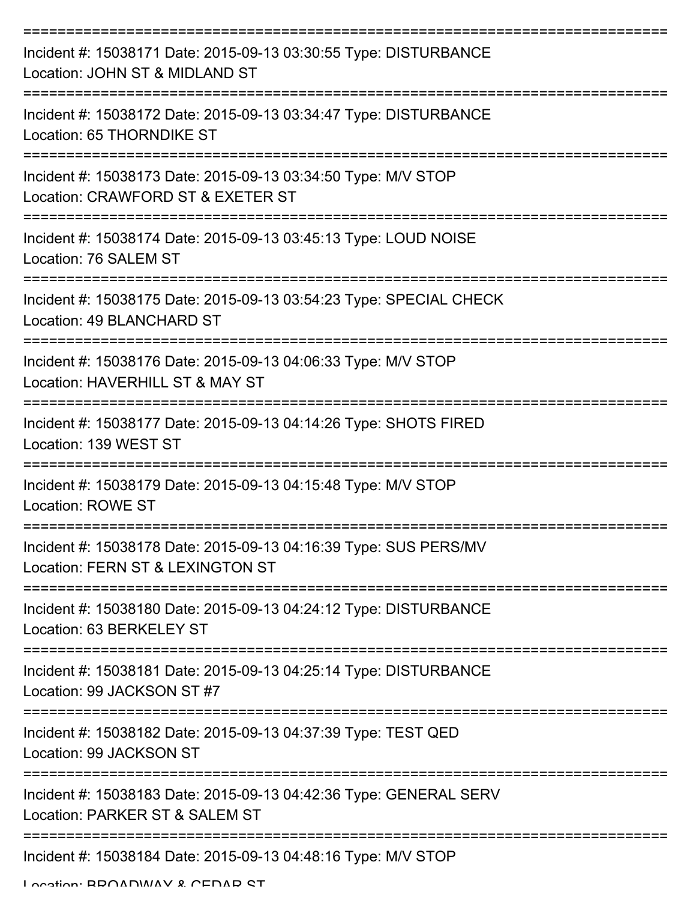| Incident #: 15038171 Date: 2015-09-13 03:30:55 Type: DISTURBANCE<br>Location: JOHN ST & MIDLAND ST   |
|------------------------------------------------------------------------------------------------------|
| Incident #: 15038172 Date: 2015-09-13 03:34:47 Type: DISTURBANCE<br>Location: 65 THORNDIKE ST        |
| Incident #: 15038173 Date: 2015-09-13 03:34:50 Type: M/V STOP<br>Location: CRAWFORD ST & EXETER ST   |
| Incident #: 15038174 Date: 2015-09-13 03:45:13 Type: LOUD NOISE<br>Location: 76 SALEM ST             |
| Incident #: 15038175 Date: 2015-09-13 03:54:23 Type: SPECIAL CHECK<br>Location: 49 BLANCHARD ST      |
| Incident #: 15038176 Date: 2015-09-13 04:06:33 Type: M/V STOP<br>Location: HAVERHILL ST & MAY ST     |
| Incident #: 15038177 Date: 2015-09-13 04:14:26 Type: SHOTS FIRED<br>Location: 139 WEST ST            |
| Incident #: 15038179 Date: 2015-09-13 04:15:48 Type: M/V STOP<br>Location: ROWE ST                   |
| Incident #: 15038178 Date: 2015-09-13 04:16:39 Type: SUS PERS/MV<br>Location: FERN ST & LEXINGTON ST |
| Incident #: 15038180 Date: 2015-09-13 04:24:12 Type: DISTURBANCE<br>Location: 63 BERKELEY ST         |
| Incident #: 15038181 Date: 2015-09-13 04:25:14 Type: DISTURBANCE<br>Location: 99 JACKSON ST #7       |
| Incident #: 15038182 Date: 2015-09-13 04:37:39 Type: TEST QED<br>Location: 99 JACKSON ST             |
| Incident #: 15038183 Date: 2015-09-13 04:42:36 Type: GENERAL SERV<br>Location: PARKER ST & SALEM ST  |
| Incident #: 15038184 Date: 2015-09-13 04:48:16 Type: M/V STOP                                        |

Location: BDOADWAY & CEDAD CT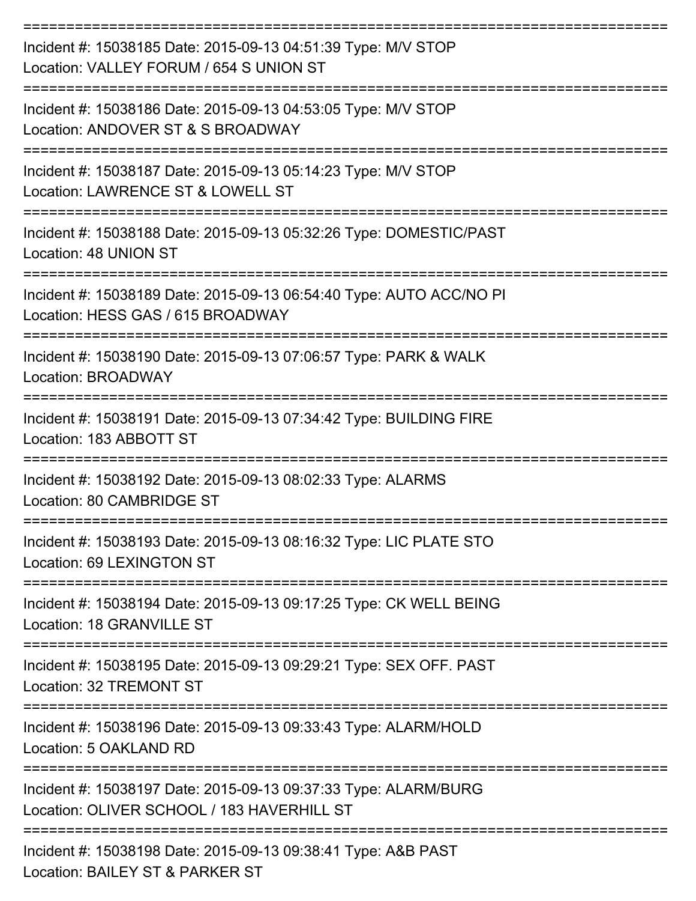| Incident #: 15038185 Date: 2015-09-13 04:51:39 Type: M/V STOP<br>Location: VALLEY FORUM / 654 S UNION ST      |
|---------------------------------------------------------------------------------------------------------------|
| Incident #: 15038186 Date: 2015-09-13 04:53:05 Type: M/V STOP<br>Location: ANDOVER ST & S BROADWAY            |
| Incident #: 15038187 Date: 2015-09-13 05:14:23 Type: M/V STOP<br>Location: LAWRENCE ST & LOWELL ST            |
| Incident #: 15038188 Date: 2015-09-13 05:32:26 Type: DOMESTIC/PAST<br>Location: 48 UNION ST                   |
| Incident #: 15038189 Date: 2015-09-13 06:54:40 Type: AUTO ACC/NO PI<br>Location: HESS GAS / 615 BROADWAY      |
| Incident #: 15038190 Date: 2015-09-13 07:06:57 Type: PARK & WALK<br>Location: BROADWAY                        |
| Incident #: 15038191 Date: 2015-09-13 07:34:42 Type: BUILDING FIRE<br>Location: 183 ABBOTT ST                 |
| Incident #: 15038192 Date: 2015-09-13 08:02:33 Type: ALARMS<br>Location: 80 CAMBRIDGE ST                      |
| Incident #: 15038193 Date: 2015-09-13 08:16:32 Type: LIC PLATE STO<br>Location: 69 LEXINGTON ST               |
| Incident #: 15038194 Date: 2015-09-13 09:17:25 Type: CK WELL BEING<br>Location: 18 GRANVILLE ST               |
| Incident #: 15038195 Date: 2015-09-13 09:29:21 Type: SEX OFF. PAST<br>Location: 32 TREMONT ST                 |
| Incident #: 15038196 Date: 2015-09-13 09:33:43 Type: ALARM/HOLD<br>Location: 5 OAKLAND RD                     |
| Incident #: 15038197 Date: 2015-09-13 09:37:33 Type: ALARM/BURG<br>Location: OLIVER SCHOOL / 183 HAVERHILL ST |
| Incident #: 15038198 Date: 2015-09-13 09:38:41 Type: A&B PAST<br>DAILEV OT 8 DADIZED OT                       |

Location: BAILEY ST & PARKER ST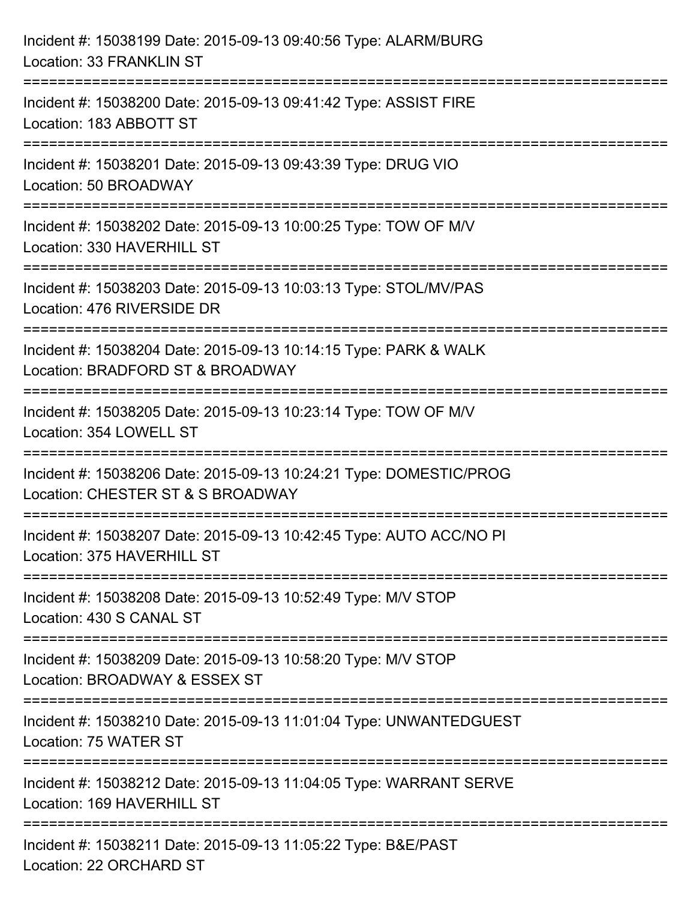| Incident #: 15038199 Date: 2015-09-13 09:40:56 Type: ALARM/BURG<br>Location: 33 FRANKLIN ST                                          |
|--------------------------------------------------------------------------------------------------------------------------------------|
| =====================================<br>Incident #: 15038200 Date: 2015-09-13 09:41:42 Type: ASSIST FIRE<br>Location: 183 ABBOTT ST |
| Incident #: 15038201 Date: 2015-09-13 09:43:39 Type: DRUG VIO<br>Location: 50 BROADWAY                                               |
| Incident #: 15038202 Date: 2015-09-13 10:00:25 Type: TOW OF M/V<br>Location: 330 HAVERHILL ST                                        |
| Incident #: 15038203 Date: 2015-09-13 10:03:13 Type: STOL/MV/PAS<br>Location: 476 RIVERSIDE DR                                       |
| Incident #: 15038204 Date: 2015-09-13 10:14:15 Type: PARK & WALK<br>Location: BRADFORD ST & BROADWAY                                 |
| :====================<br>Incident #: 15038205 Date: 2015-09-13 10:23:14 Type: TOW OF M/V<br>Location: 354 LOWELL ST                  |
| Incident #: 15038206 Date: 2015-09-13 10:24:21 Type: DOMESTIC/PROG<br>Location: CHESTER ST & S BROADWAY                              |
| Incident #: 15038207 Date: 2015-09-13 10:42:45 Type: AUTO ACC/NO PI<br>Location: 375 HAVERHILL ST                                    |
| Incident #: 15038208 Date: 2015-09-13 10:52:49 Type: M/V STOP<br>Location: 430 S CANAL ST                                            |
| Incident #: 15038209 Date: 2015-09-13 10:58:20 Type: M/V STOP<br>Location: BROADWAY & ESSEX ST                                       |
| Incident #: 15038210 Date: 2015-09-13 11:01:04 Type: UNWANTEDGUEST<br>Location: 75 WATER ST                                          |
| Incident #: 15038212 Date: 2015-09-13 11:04:05 Type: WARRANT SERVE<br>Location: 169 HAVERHILL ST                                     |
| Incident #: 15038211 Date: 2015-09-13 11:05:22 Type: B&E/PAST<br>Location: 22 ORCHARD ST                                             |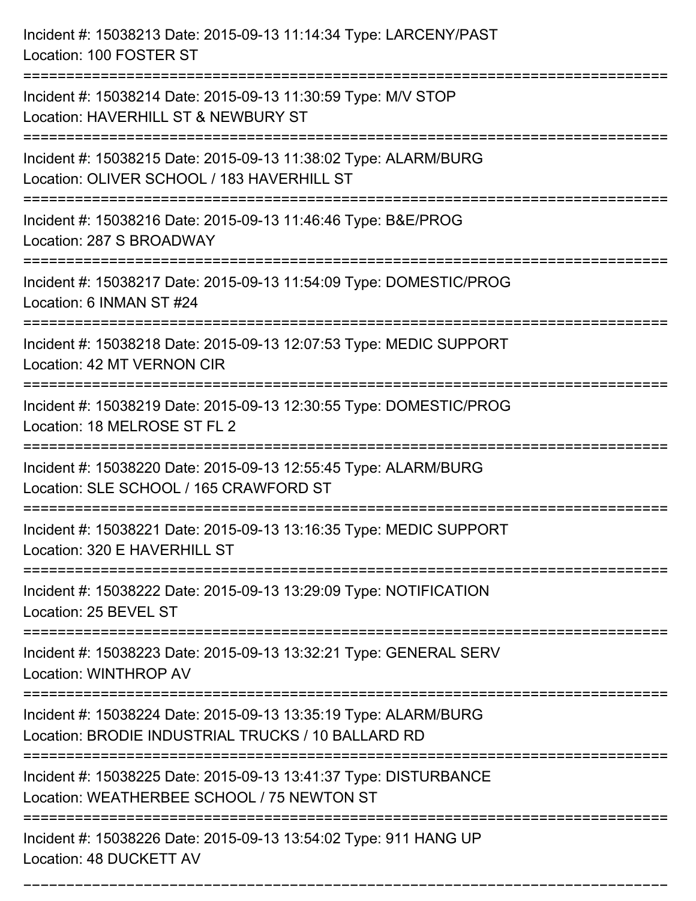| Incident #: 15038213 Date: 2015-09-13 11:14:34 Type: LARCENY/PAST<br>Location: 100 FOSTER ST                                                 |
|----------------------------------------------------------------------------------------------------------------------------------------------|
| ====================================<br>Incident #: 15038214 Date: 2015-09-13 11:30:59 Type: M/V STOP<br>Location: HAVERHILL ST & NEWBURY ST |
| Incident #: 15038215 Date: 2015-09-13 11:38:02 Type: ALARM/BURG<br>Location: OLIVER SCHOOL / 183 HAVERHILL ST<br>:========================== |
| Incident #: 15038216 Date: 2015-09-13 11:46:46 Type: B&E/PROG<br>Location: 287 S BROADWAY                                                    |
| Incident #: 15038217 Date: 2015-09-13 11:54:09 Type: DOMESTIC/PROG<br>Location: 6 INMAN ST #24                                               |
| Incident #: 15038218 Date: 2015-09-13 12:07:53 Type: MEDIC SUPPORT<br>Location: 42 MT VERNON CIR                                             |
| Incident #: 15038219 Date: 2015-09-13 12:30:55 Type: DOMESTIC/PROG<br>Location: 18 MELROSE ST FL 2                                           |
| Incident #: 15038220 Date: 2015-09-13 12:55:45 Type: ALARM/BURG<br>Location: SLE SCHOOL / 165 CRAWFORD ST                                    |
| Incident #: 15038221 Date: 2015-09-13 13:16:35 Type: MEDIC SUPPORT<br>Location: 320 E HAVERHILL ST                                           |
| Incident #: 15038222 Date: 2015-09-13 13:29:09 Type: NOTIFICATION<br>Location: 25 BEVEL ST                                                   |
| Incident #: 15038223 Date: 2015-09-13 13:32:21 Type: GENERAL SERV<br>Location: WINTHROP AV                                                   |
| Incident #: 15038224 Date: 2015-09-13 13:35:19 Type: ALARM/BURG<br>Location: BRODIE INDUSTRIAL TRUCKS / 10 BALLARD RD                        |
| Incident #: 15038225 Date: 2015-09-13 13:41:37 Type: DISTURBANCE<br>Location: WEATHERBEE SCHOOL / 75 NEWTON ST                               |
| Incident #: 15038226 Date: 2015-09-13 13:54:02 Type: 911 HANG UP<br>Location: 48 DUCKETT AV                                                  |

===========================================================================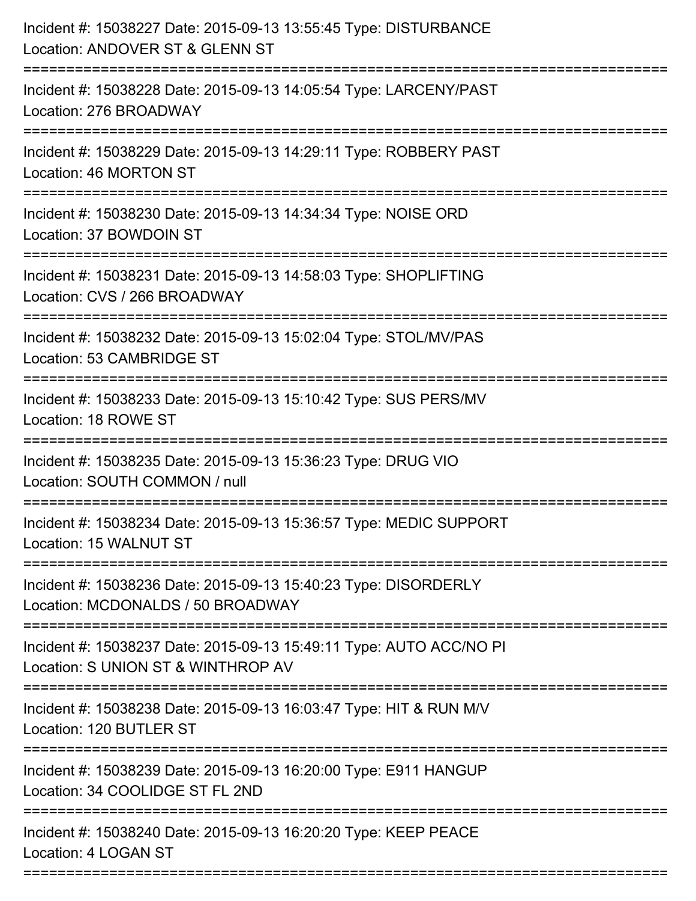| Incident #: 15038227 Date: 2015-09-13 13:55:45 Type: DISTURBANCE<br>Location: ANDOVER ST & GLENN ST<br>-------------------- |
|-----------------------------------------------------------------------------------------------------------------------------|
| Incident #: 15038228 Date: 2015-09-13 14:05:54 Type: LARCENY/PAST<br>Location: 276 BROADWAY                                 |
| Incident #: 15038229 Date: 2015-09-13 14:29:11 Type: ROBBERY PAST<br>Location: 46 MORTON ST<br>:=======================     |
| Incident #: 15038230 Date: 2015-09-13 14:34:34 Type: NOISE ORD<br>Location: 37 BOWDOIN ST                                   |
| Incident #: 15038231 Date: 2015-09-13 14:58:03 Type: SHOPLIFTING<br>Location: CVS / 266 BROADWAY<br>================        |
| Incident #: 15038232 Date: 2015-09-13 15:02:04 Type: STOL/MV/PAS<br>Location: 53 CAMBRIDGE ST                               |
| Incident #: 15038233 Date: 2015-09-13 15:10:42 Type: SUS PERS/MV<br>Location: 18 ROWE ST                                    |
| Incident #: 15038235 Date: 2015-09-13 15:36:23 Type: DRUG VIO<br>Location: SOUTH COMMON / null                              |
| Incident #: 15038234 Date: 2015-09-13 15:36:57 Type: MEDIC SUPPORT<br>Location: 15 WALNUT ST<br>-------------------         |
| Incident #: 15038236 Date: 2015-09-13 15:40:23 Type: DISORDERLY<br>Location: MCDONALDS / 50 BROADWAY                        |
| Incident #: 15038237 Date: 2015-09-13 15:49:11 Type: AUTO ACC/NO PI<br>Location: S UNION ST & WINTHROP AV                   |
| Incident #: 15038238 Date: 2015-09-13 16:03:47 Type: HIT & RUN M/V<br>Location: 120 BUTLER ST                               |
| Incident #: 15038239 Date: 2015-09-13 16:20:00 Type: E911 HANGUP<br>Location: 34 COOLIDGE ST FL 2ND                         |
| Incident #: 15038240 Date: 2015-09-13 16:20:20 Type: KEEP PEACE<br>Location: 4 LOGAN ST                                     |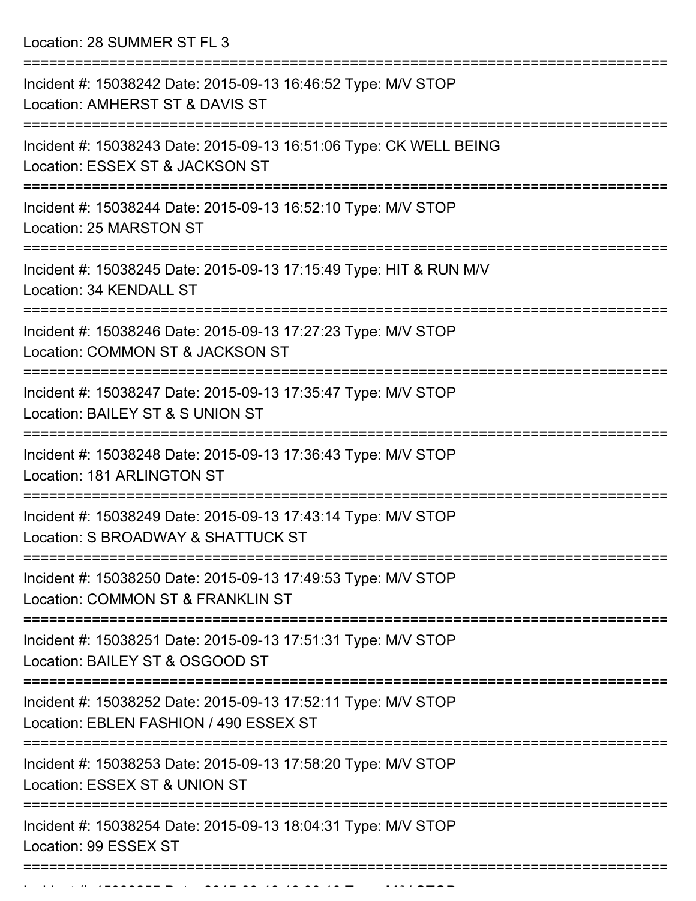Location: 28 SUMMER ST FL 3

| Incident #: 15038242 Date: 2015-09-13 16:46:52 Type: M/V STOP<br>Location: AMHERST ST & DAVIS ST        |
|---------------------------------------------------------------------------------------------------------|
| Incident #: 15038243 Date: 2015-09-13 16:51:06 Type: CK WELL BEING<br>Location: ESSEX ST & JACKSON ST   |
| Incident #: 15038244 Date: 2015-09-13 16:52:10 Type: M/V STOP<br>Location: 25 MARSTON ST                |
| Incident #: 15038245 Date: 2015-09-13 17:15:49 Type: HIT & RUN M/V<br>Location: 34 KENDALL ST           |
| Incident #: 15038246 Date: 2015-09-13 17:27:23 Type: M/V STOP<br>Location: COMMON ST & JACKSON ST       |
| Incident #: 15038247 Date: 2015-09-13 17:35:47 Type: M/V STOP<br>Location: BAILEY ST & S UNION ST       |
| Incident #: 15038248 Date: 2015-09-13 17:36:43 Type: M/V STOP<br>Location: 181 ARLINGTON ST             |
| Incident #: 15038249 Date: 2015-09-13 17:43:14 Type: M/V STOP<br>Location: S BROADWAY & SHATTUCK ST     |
| Incident #: 15038250 Date: 2015-09-13 17:49:53 Type: M/V STOP<br>Location: COMMON ST & FRANKLIN ST      |
| Incident #: 15038251 Date: 2015-09-13 17:51:31 Type: M/V STOP<br>Location: BAILEY ST & OSGOOD ST        |
| Incident #: 15038252 Date: 2015-09-13 17:52:11 Type: M/V STOP<br>Location: EBLEN FASHION / 490 ESSEX ST |
| Incident #: 15038253 Date: 2015-09-13 17:58:20 Type: M/V STOP<br>Location: ESSEX ST & UNION ST          |
| Incident #: 15038254 Date: 2015-09-13 18:04:31 Type: M/V STOP<br>Location: 99 ESSEX ST                  |
|                                                                                                         |

Incident #: 15038255 Date: 2015 09 13 18:06:10 Type: M/V STOP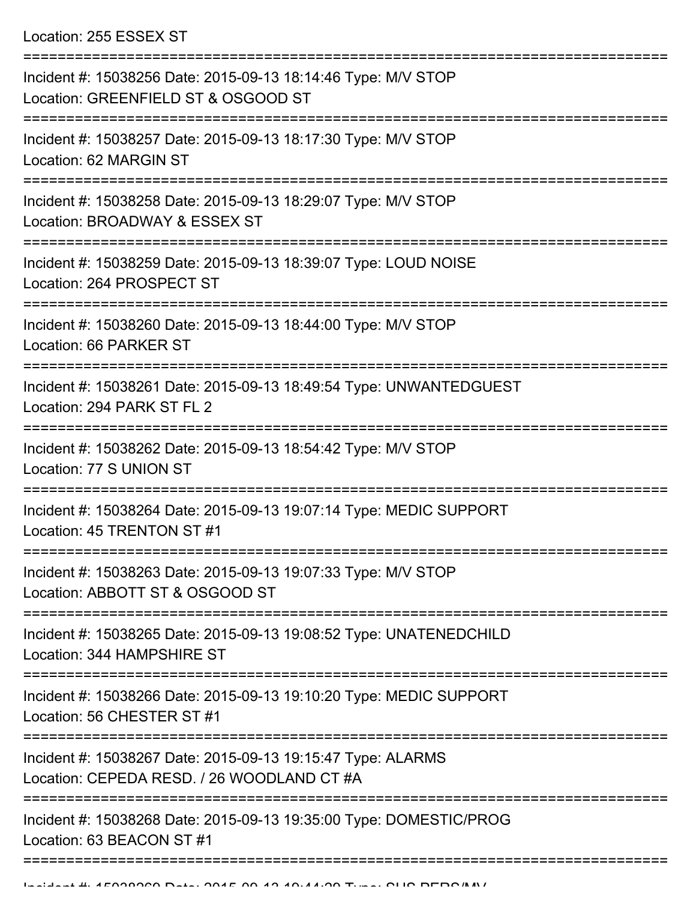| Incident #: 15038256 Date: 2015-09-13 18:14:46 Type: M/V STOP<br>Location: GREENFIELD ST & OSGOOD ST      |
|-----------------------------------------------------------------------------------------------------------|
| Incident #: 15038257 Date: 2015-09-13 18:17:30 Type: M/V STOP<br>Location: 62 MARGIN ST                   |
| Incident #: 15038258 Date: 2015-09-13 18:29:07 Type: M/V STOP<br>Location: BROADWAY & ESSEX ST            |
| Incident #: 15038259 Date: 2015-09-13 18:39:07 Type: LOUD NOISE<br>Location: 264 PROSPECT ST              |
| Incident #: 15038260 Date: 2015-09-13 18:44:00 Type: M/V STOP<br>Location: 66 PARKER ST                   |
| Incident #: 15038261 Date: 2015-09-13 18:49:54 Type: UNWANTEDGUEST<br>Location: 294 PARK ST FL 2          |
| Incident #: 15038262 Date: 2015-09-13 18:54:42 Type: M/V STOP<br>Location: 77 S UNION ST                  |
| Incident #: 15038264 Date: 2015-09-13 19:07:14 Type: MEDIC SUPPORT<br>Location: 45 TRENTON ST #1          |
| Incident #: 15038263 Date: 2015-09-13 19:07:33 Type: M/V STOP<br>Location: ABBOTT ST & OSGOOD ST          |
| Incident #: 15038265 Date: 2015-09-13 19:08:52 Type: UNATENEDCHILD<br>Location: 344 HAMPSHIRE ST          |
| Incident #: 15038266 Date: 2015-09-13 19:10:20 Type: MEDIC SUPPORT<br>Location: 56 CHESTER ST #1          |
| Incident #: 15038267 Date: 2015-09-13 19:15:47 Type: ALARMS<br>Location: CEPEDA RESD. / 26 WOODLAND CT #A |
| Incident #: 15038268 Date: 2015-09-13 19:35:00 Type: DOMESTIC/PROG<br>Location: 63 BEACON ST #1           |
|                                                                                                           |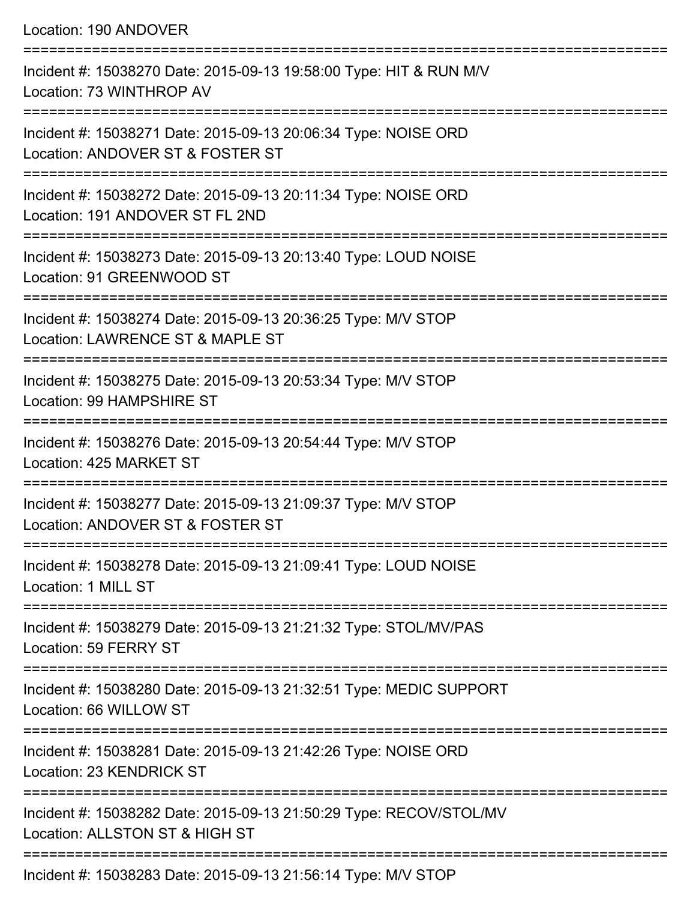Location: 190 ANDOVER

| Incident #: 15038270 Date: 2015-09-13 19:58:00 Type: HIT & RUN M/V<br>Location: 73 WINTHROP AV                                                                                   |
|----------------------------------------------------------------------------------------------------------------------------------------------------------------------------------|
| Incident #: 15038271 Date: 2015-09-13 20:06:34 Type: NOISE ORD<br>Location: ANDOVER ST & FOSTER ST                                                                               |
| Incident #: 15038272 Date: 2015-09-13 20:11:34 Type: NOISE ORD<br>Location: 191 ANDOVER ST FL 2ND                                                                                |
| Incident #: 15038273 Date: 2015-09-13 20:13:40 Type: LOUD NOISE<br>Location: 91 GREENWOOD ST                                                                                     |
| Incident #: 15038274 Date: 2015-09-13 20:36:25 Type: M/V STOP<br>Location: LAWRENCE ST & MAPLE ST                                                                                |
| Incident #: 15038275 Date: 2015-09-13 20:53:34 Type: M/V STOP<br>Location: 99 HAMPSHIRE ST                                                                                       |
| Incident #: 15038276 Date: 2015-09-13 20:54:44 Type: M/V STOP<br>Location: 425 MARKET ST                                                                                         |
| Incident #: 15038277 Date: 2015-09-13 21:09:37 Type: M/V STOP<br>Location: ANDOVER ST & FOSTER ST                                                                                |
| Incident #: 15038278 Date: 2015-09-13 21:09:41 Type: LOUD NOISE<br>Location: 1 MILL ST                                                                                           |
| Incident #: 15038279 Date: 2015-09-13 21:21:32 Type: STOL/MV/PAS<br>Location: 59 FERRY ST                                                                                        |
| Incident #: 15038280 Date: 2015-09-13 21:32:51 Type: MEDIC SUPPORT<br>Location: 66 WILLOW ST                                                                                     |
| Incident #: 15038281 Date: 2015-09-13 21:42:26 Type: NOISE ORD<br>Location: 23 KENDRICK ST                                                                                       |
| Incident #: 15038282 Date: 2015-09-13 21:50:29 Type: RECOV/STOL/MV<br>Location: ALLSTON ST & HIGH ST                                                                             |
| $I_{\text{no}}$ ident # $I_{\text{no}}$ 45030303 Deter 2045 00.43.34 $\text{F}_{\text{no}}$ 44.5644 $\text{T}_{\text{no}}$ $\text{M}$ $\text{N}$ $\text{C}$ $\text{T}$ $\bigcap$ |

Incident #: 15038283 Date: 2015-09-13 21:56:14 Type: M/V STOP